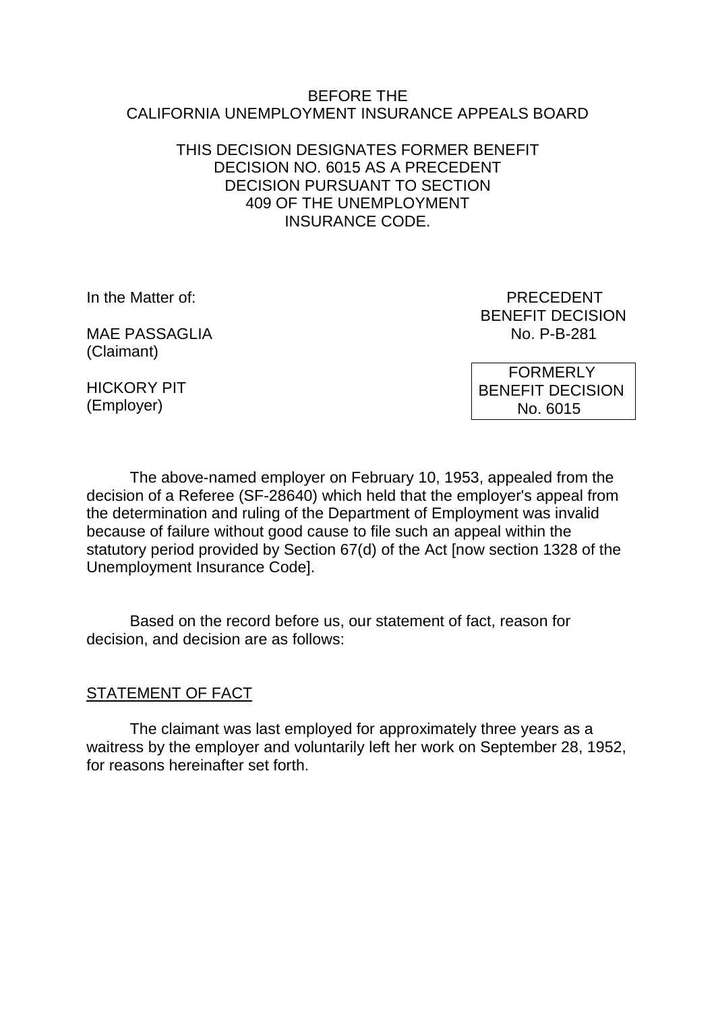#### BEFORE THE CALIFORNIA UNEMPLOYMENT INSURANCE APPEALS BOARD

## THIS DECISION DESIGNATES FORMER BENEFIT DECISION NO. 6015 AS A PRECEDENT DECISION PURSUANT TO SECTION 409 OF THE UNEMPLOYMENT INSURANCE CODE.

MAF PASSAGLIA NO P-B-281 (Claimant)

In the Matter of: **PRECEDENT** BENEFIT DECISION

HICKORY PIT (Employer)

 FORMERLY BENEFIT DECISION No. 6015

The above-named employer on February 10, 1953, appealed from the decision of a Referee (SF-28640) which held that the employer's appeal from the determination and ruling of the Department of Employment was invalid because of failure without good cause to file such an appeal within the statutory period provided by Section 67(d) of the Act [now section 1328 of the Unemployment Insurance Code].

Based on the record before us, our statement of fact, reason for decision, and decision are as follows:

# STATEMENT OF FACT

The claimant was last employed for approximately three years as a waitress by the employer and voluntarily left her work on September 28, 1952, for reasons hereinafter set forth.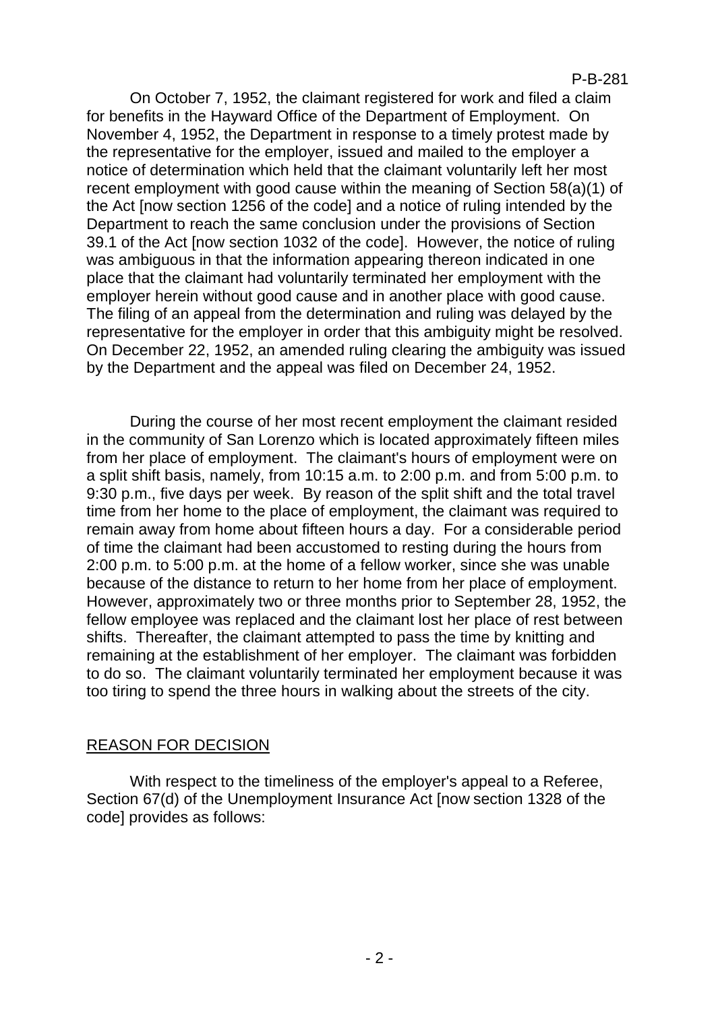#### P-B-281

On October 7, 1952, the claimant registered for work and filed a claim for benefits in the Hayward Office of the Department of Employment. On November 4, 1952, the Department in response to a timely protest made by the representative for the employer, issued and mailed to the employer a notice of determination which held that the claimant voluntarily left her most recent employment with good cause within the meaning of Section 58(a)(1) of the Act [now section 1256 of the code] and a notice of ruling intended by the Department to reach the same conclusion under the provisions of Section 39.1 of the Act [now section 1032 of the code]. However, the notice of ruling was ambiguous in that the information appearing thereon indicated in one place that the claimant had voluntarily terminated her employment with the employer herein without good cause and in another place with good cause. The filing of an appeal from the determination and ruling was delayed by the representative for the employer in order that this ambiguity might be resolved. On December 22, 1952, an amended ruling clearing the ambiguity was issued by the Department and the appeal was filed on December 24, 1952.

During the course of her most recent employment the claimant resided in the community of San Lorenzo which is located approximately fifteen miles from her place of employment. The claimant's hours of employment were on a split shift basis, namely, from 10:15 a.m. to 2:00 p.m. and from 5:00 p.m. to 9:30 p.m., five days per week. By reason of the split shift and the total travel time from her home to the place of employment, the claimant was required to remain away from home about fifteen hours a day. For a considerable period of time the claimant had been accustomed to resting during the hours from 2:00 p.m. to 5:00 p.m. at the home of a fellow worker, since she was unable because of the distance to return to her home from her place of employment. However, approximately two or three months prior to September 28, 1952, the fellow employee was replaced and the claimant lost her place of rest between shifts. Thereafter, the claimant attempted to pass the time by knitting and remaining at the establishment of her employer. The claimant was forbidden to do so. The claimant voluntarily terminated her employment because it was too tiring to spend the three hours in walking about the streets of the city.

### REASON FOR DECISION

With respect to the timeliness of the employer's appeal to a Referee, Section 67(d) of the Unemployment Insurance Act [now section 1328 of the code] provides as follows: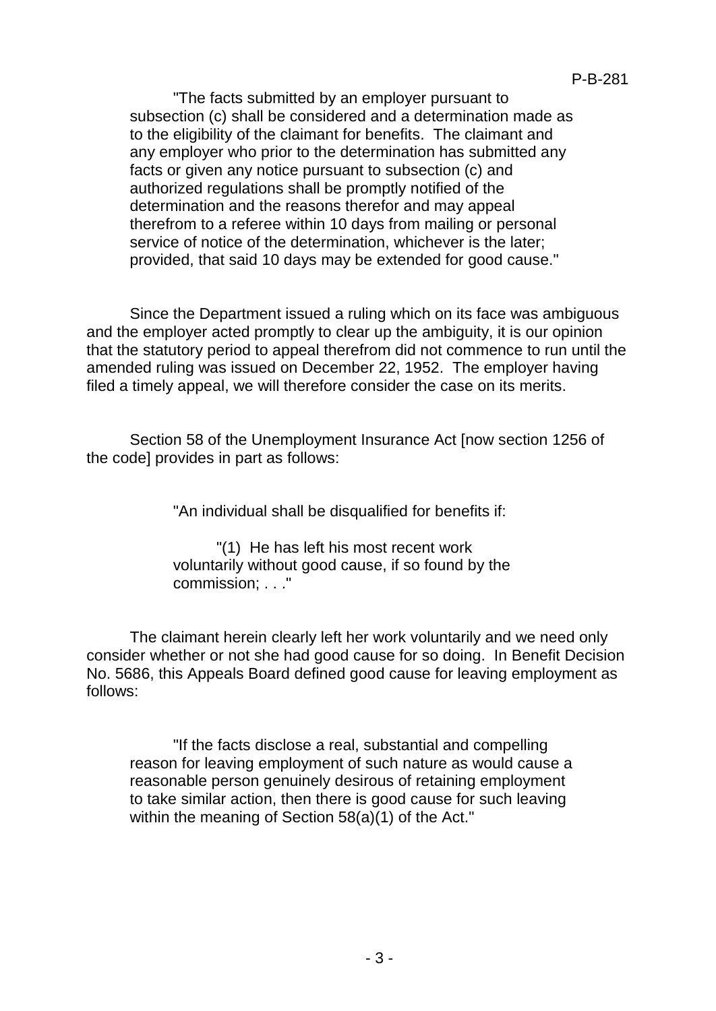"The facts submitted by an employer pursuant to subsection (c) shall be considered and a determination made as to the eligibility of the claimant for benefits. The claimant and any employer who prior to the determination has submitted any facts or given any notice pursuant to subsection (c) and authorized regulations shall be promptly notified of the determination and the reasons therefor and may appeal therefrom to a referee within 10 days from mailing or personal service of notice of the determination, whichever is the later; provided, that said 10 days may be extended for good cause."

Since the Department issued a ruling which on its face was ambiguous and the employer acted promptly to clear up the ambiguity, it is our opinion that the statutory period to appeal therefrom did not commence to run until the amended ruling was issued on December 22, 1952. The employer having filed a timely appeal, we will therefore consider the case on its merits.

Section 58 of the Unemployment Insurance Act [now section 1256 of the code] provides in part as follows:

"An individual shall be disqualified for benefits if:

"(1) He has left his most recent work voluntarily without good cause, if so found by the commission; . . ."

The claimant herein clearly left her work voluntarily and we need only consider whether or not she had good cause for so doing. In Benefit Decision No. 5686, this Appeals Board defined good cause for leaving employment as follows:

"If the facts disclose a real, substantial and compelling reason for leaving employment of such nature as would cause a reasonable person genuinely desirous of retaining employment to take similar action, then there is good cause for such leaving within the meaning of Section 58(a)(1) of the Act."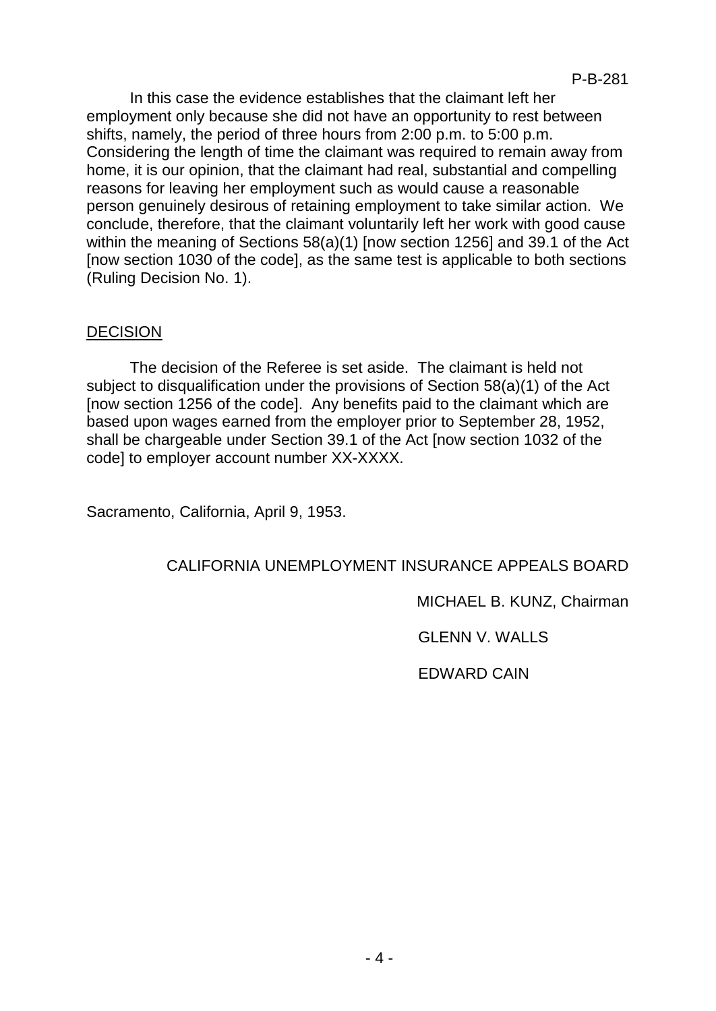In this case the evidence establishes that the claimant left her employment only because she did not have an opportunity to rest between shifts, namely, the period of three hours from 2:00 p.m. to 5:00 p.m. Considering the length of time the claimant was required to remain away from home, it is our opinion, that the claimant had real, substantial and compelling reasons for leaving her employment such as would cause a reasonable person genuinely desirous of retaining employment to take similar action. We conclude, therefore, that the claimant voluntarily left her work with good cause within the meaning of Sections 58(a)(1) [now section 1256] and 39.1 of the Act [now section 1030 of the code], as the same test is applicable to both sections (Ruling Decision No. 1).

# DECISION

The decision of the Referee is set aside. The claimant is held not subject to disqualification under the provisions of Section 58(a)(1) of the Act [now section 1256 of the code]. Any benefits paid to the claimant which are based upon wages earned from the employer prior to September 28, 1952, shall be chargeable under Section 39.1 of the Act [now section 1032 of the code] to employer account number XX-XXXX.

Sacramento, California, April 9, 1953.

# CALIFORNIA UNEMPLOYMENT INSURANCE APPEALS BOARD

MICHAEL B. KUNZ, Chairman

GLENN V. WALLS

EDWARD CAIN